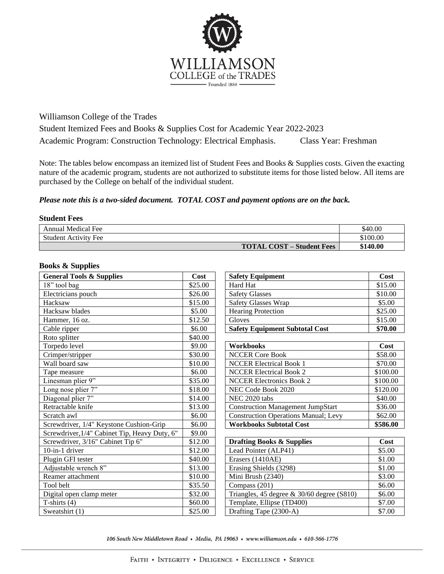

Williamson College of the Trades

Student Itemized Fees and Books & Supplies Cost for Academic Year 2022-2023 Academic Program: Construction Technology: Electrical Emphasis. Class Year: Freshman

Note: The tables below encompass an itemized list of Student Fees and Books & Supplies costs. Given the exacting nature of the academic program, students are not authorized to substitute items for those listed below. All items are purchased by the College on behalf of the individual student.

## *Please note this is a two-sided document. TOTAL COST and payment options are on the back.*

## **Student Fees**

| <b>Annual Medical Fee</b>                    | \$40.00  |
|----------------------------------------------|----------|
| <b>Student Activity Fee</b>                  | \$100.00 |
| <b>TOTAL COST</b><br><b>7 – Student Fees</b> | \$140.00 |

## **Books & Supplies**

| <b>General Tools &amp; Supplies</b>           | Cost    | <b>Safety Equipment</b>                       | Cost     |
|-----------------------------------------------|---------|-----------------------------------------------|----------|
| 18" tool bag                                  | \$25.00 | Hard Hat                                      | \$15.00  |
| Electricians pouch                            | \$26.00 | <b>Safety Glasses</b>                         | \$10.00  |
| Hacksaw                                       | \$15.00 | <b>Safety Glasses Wrap</b>                    | \$5.00   |
| Hacksaw blades                                | \$5.00  | <b>Hearing Protection</b>                     | \$25.00  |
| Hammer, 16 oz.                                | \$12.50 | Gloves                                        | \$15.00  |
| Cable ripper                                  | \$6.00  | <b>Safety Equipment Subtotal Cost</b>         | \$70.00  |
| Roto splitter                                 | \$40.00 |                                               |          |
| Torpedo level                                 | \$9.00  | <b>Workbooks</b>                              | Cost     |
| Crimper/stripper                              | \$30.00 | <b>NCCER Core Book</b>                        | \$58.00  |
| Wall board saw                                | \$10.00 | <b>NCCER Electrical Book 1</b>                | \$70.00  |
| Tape measure                                  | \$6.00  | <b>NCCER Electrical Book 2</b>                | \$100.00 |
| Linesman plier 9"                             | \$35.00 | <b>NCCER Electronics Book 2</b>               | \$100.00 |
| Long nose plier 7"                            | \$18.00 | NEC Code Book 2020                            | \$120.00 |
| Diagonal plier 7"                             | \$14.00 | NEC 2020 tabs                                 | \$40.00  |
| Retractable knife                             | \$13.00 | <b>Construction Management JumpStart</b>      | \$36.00  |
| Scratch awl                                   | \$6.00  | <b>Construction Operations Manual; Levy</b>   | \$62.00  |
| Screwdriver, 1/4" Keystone Cushion-Grip       | \$6.00  | <b>Workbooks Subtotal Cost</b>                | \$586.00 |
| Screwdriver, 1/4" Cabinet Tip, Heavy Duty, 6" | \$9.00  |                                               |          |
| Screwdriver, 3/16" Cabinet Tip 6"             | \$12.00 | <b>Drafting Books &amp; Supplies</b>          | Cost     |
| 10-in-1 driver                                | \$12.00 | Lead Pointer (ALP41)                          | \$5.00   |
| Plugin GFI tester                             | \$40.00 | Erasers (1410AE)                              | \$1.00   |
| Adjustable wrench 8"                          | \$13.00 | Erasing Shields (3298)                        | \$1.00   |
| Reamer attachment                             | \$10.00 | Mini Brush (2340)                             | \$3.00   |
| Tool belt                                     | \$35.50 | Compass (201)                                 | \$6.00   |
| Digital open clamp meter                      | \$32.00 | Triangles, 45 degree $\&$ 30/60 degree (S810) | \$6.00   |
| T-shirts $(4)$                                | \$60.00 | Template, Ellipse (TD400)                     | \$7.00   |
| Sweatshirt (1)                                | \$25.00 | Drafting Tape (2300-A)                        | \$7.00   |

106 South New Middletown Road • Media, PA 19063 • www.williamson.edu • 610-566-1776